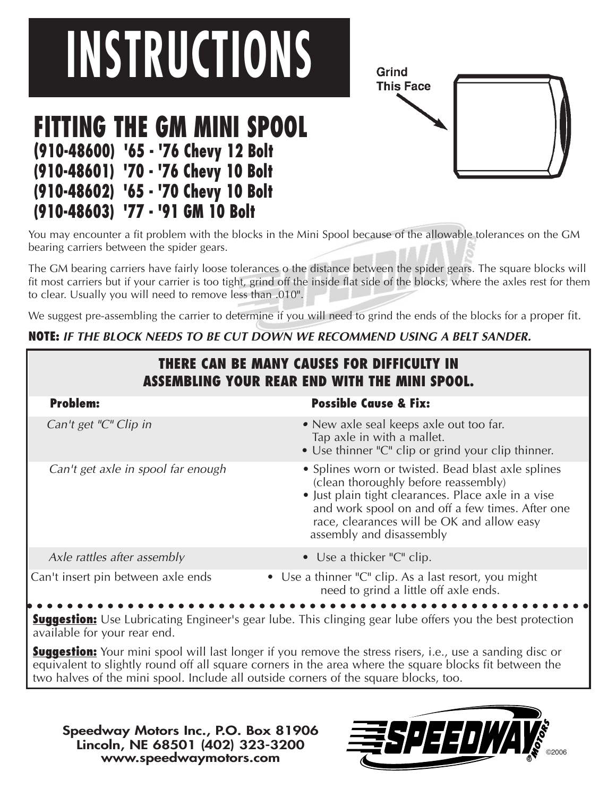## **INSTRUCTIONS**

## **FITTING THE GM MINI SPOOL (910-48600) '65 - '76 Chevy 12 Bolt (910-48601) '70 - '76 Chevy 10 Bolt (910-48602) '65 - '70 Chevy 10 Bolt (910-48603) '77 - '91 GM 10 Bolt**

Grind **This Face** 

You may encounter a fit problem with the blocks in the Mini Spool because of the allowable tolerances on the GM bearing carriers between the spider gears.

The GM bearing carriers have fairly loose tolerances o the distance between the spider gears. The square blocks will fit most carriers but if your carrier is too tight, grind off the inside flat side of the blocks, where the axles rest for them to clear. Usually you will need to remove less than .010".

We suggest pre-assembling the carrier to determine if you will need to grind the ends of the blocks for a proper fit.

## **NOTE: IF THE BLOCK NEEDS TO BE CUT DOWN WE RECOMMEND USING A BELT SANDER.**

| THERE CAN BE MANY CAUSES FOR DIFFICULTY IN<br><b>ASSEMBLING YOUR REAR END WITH THE MINI SPOOL.</b> |                                                                                                                                                                                                                                                                                 |
|----------------------------------------------------------------------------------------------------|---------------------------------------------------------------------------------------------------------------------------------------------------------------------------------------------------------------------------------------------------------------------------------|
| <b>Problem:</b>                                                                                    | <b>Possible Cause &amp; Fix:</b>                                                                                                                                                                                                                                                |
| Can't get "C" Clip in                                                                              | • New axle seal keeps axle out too far.<br>Tap axle in with a mallet.<br>• Use thinner "C" clip or grind your clip thinner.                                                                                                                                                     |
| Can't get axle in spool far enough                                                                 | • Splines worn or twisted. Bead blast axle splines<br>(clean thoroughly before reassembly)<br>• Just plain tight clearances. Place axle in a vise<br>and work spool on and off a few times. After one<br>race, clearances will be OK and allow easy<br>assembly and disassembly |
| Axle rattles after assembly                                                                        | • Use a thicker " $C$ " clip.                                                                                                                                                                                                                                                   |
| Can't insert pin between axle ends                                                                 | • Use a thinner "C" clip. As a last resort, you might<br>need to grind a little off axle ends.                                                                                                                                                                                  |

**Suggestion:** Use Lubricating Engineer's gear lube. This clinging gear lube offers you the best protection available for your rear end.

**Suggestion:** Your mini spool will last longer if you remove the stress risers, i.e., use a sanding disc or equivalent to slightly round off all square corners in the area where the square blocks fit between the two halves of the mini spool. Include all outside corners of the square blocks, too.

**Speedway Motors Inc., P.O. Box 81906 Lincoln, NE 68501 (402) 323-3200 www.speedwaymotors.com ®**